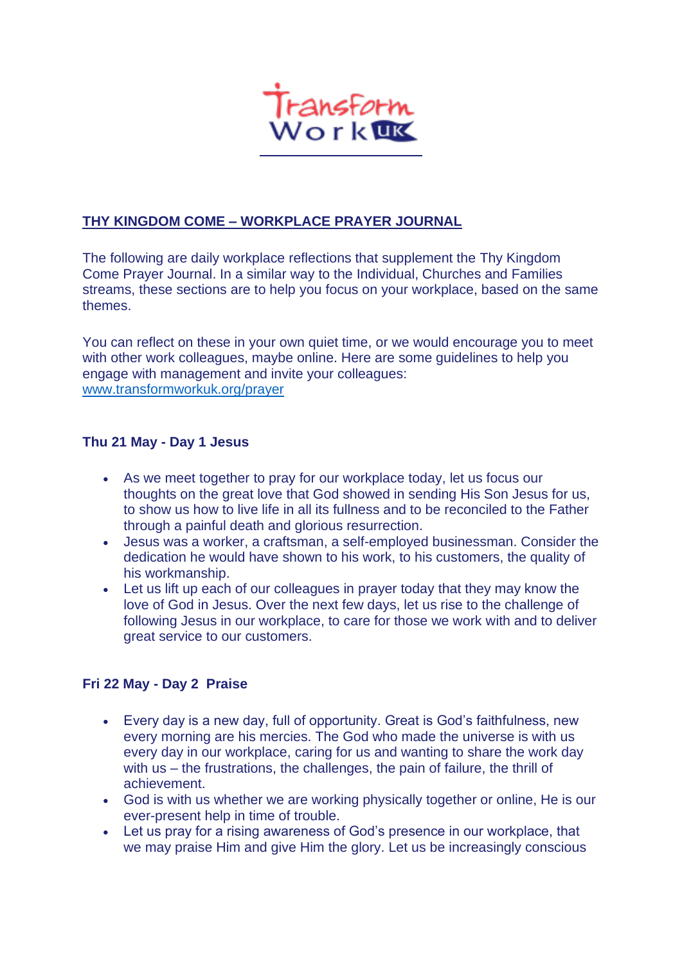

# **THY KINGDOM COME – WORKPLACE PRAYER JOURNAL**

The following are daily workplace reflections that supplement the [Thy Kingdom](https://www.thykingdomcome.global/resources/prayer-journal-2019)  [Come Prayer Journal.](https://www.thykingdomcome.global/resources/prayer-journal-2019) In a similar way to the Individual, Churches and Families streams, these sections are to help you focus on your workplace, based on the same themes.

You can reflect on these in your own quiet time, or we would encourage you to meet with other work colleagues, maybe online. Here are some guidelines to help you engage with management and invite your colleagues: <www.transformworkuk.org/prayer>

### **Thu 21 May - Day 1 Jesus**

- As we meet together to pray for our workplace today, let us focus our thoughts on the great love that God showed in sending His Son Jesus for us, to show us how to live life in all its fullness and to be reconciled to the Father through a painful death and glorious resurrection.
- Jesus was a worker, a craftsman, a self-employed businessman. Consider the dedication he would have shown to his work, to his customers, the quality of his workmanship.
- Let us lift up each of our colleagues in prayer today that they may know the love of God in Jesus. Over the next few days, let us rise to the challenge of following Jesus in our workplace, to care for those we work with and to deliver great service to our customers.

### **Fri 22 May - Day 2 Praise**

- Every day is a new day, full of opportunity. Great is God's faithfulness, new every morning are his mercies. The God who made the universe is with us every day in our workplace, caring for us and wanting to share the work day with us – the frustrations, the challenges, the pain of failure, the thrill of achievement.
- God is with us whether we are working physically together or online, He is our ever-present help in time of trouble.
- Let us pray for a rising awareness of God's presence in our workplace, that we may praise Him and give Him the glory. Let us be increasingly conscious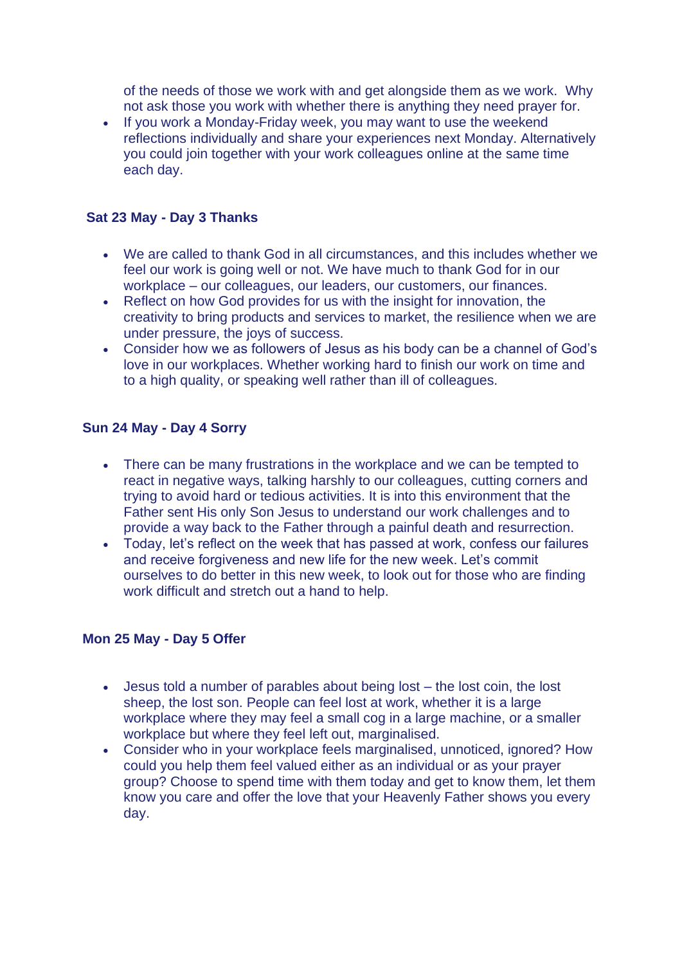of the needs of those we work with and get alongside them as we work. Why not ask those you work with whether there is anything they need prayer for.

• If you work a Monday-Friday week, you may want to use the weekend reflections individually and share your experiences next Monday. Alternatively you could join together with your work colleagues online at the same time each day.

### **Sat 23 May - Day 3 Thanks**

- We are called to thank God in all circumstances, and this includes whether we feel our work is going well or not. We have much to thank God for in our workplace – our colleagues, our leaders, our customers, our finances.
- Reflect on how God provides for us with the insight for innovation, the creativity to bring products and services to market, the resilience when we are under pressure, the joys of success.
- Consider how we as followers of Jesus as his body can be a channel of God's love in our workplaces. Whether working hard to finish our work on time and to a high quality, or speaking well rather than ill of colleagues.

### **Sun 24 May - Day 4 Sorry**

- There can be many frustrations in the workplace and we can be tempted to react in negative ways, talking harshly to our colleagues, cutting corners and trying to avoid hard or tedious activities. It is into this environment that the Father sent His only Son Jesus to understand our work challenges and to provide a way back to the Father through a painful death and resurrection.
- Today, let's reflect on the week that has passed at work, confess our failures and receive forgiveness and new life for the new week. Let's commit ourselves to do better in this new week, to look out for those who are finding work difficult and stretch out a hand to help.

### **Mon 25 May - Day 5 Offer**

- Jesus told a number of parables about being lost the lost coin, the lost sheep, the lost son. People can feel lost at work, whether it is a large workplace where they may feel a small cog in a large machine, or a smaller workplace but where they feel left out, marginalised.
- Consider who in your workplace feels marginalised, unnoticed, ignored? How could you help them feel valued either as an individual or as your prayer group? Choose to spend time with them today and get to know them, let them know you care and offer the love that your Heavenly Father shows you every day.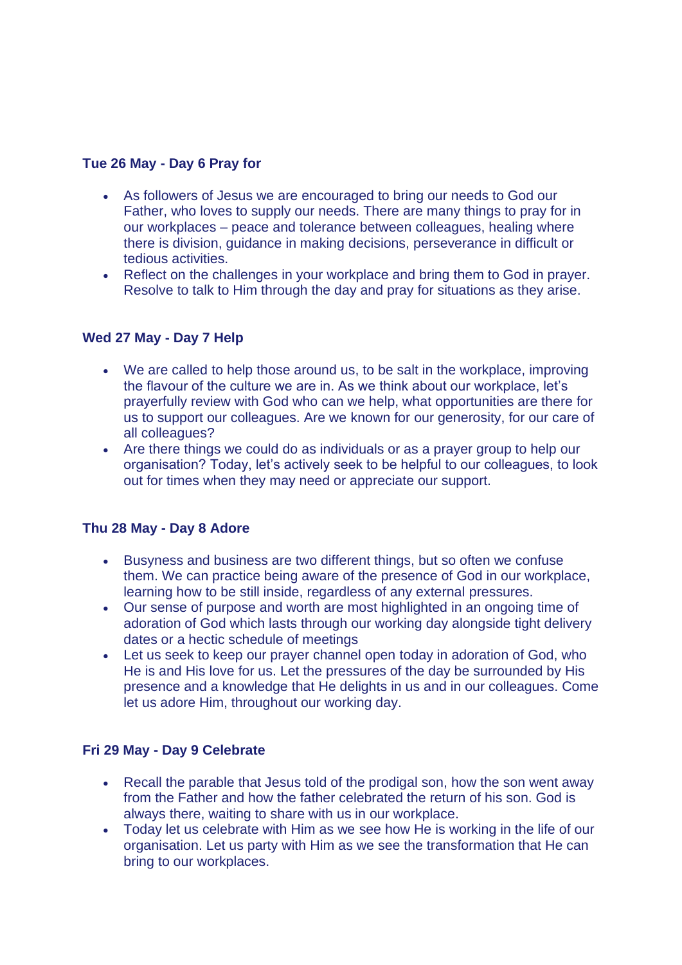## **Tue 26 May - Day 6 Pray for**

- As followers of Jesus we are encouraged to bring our needs to God our Father, who loves to supply our needs. There are many things to pray for in our workplaces – peace and tolerance between colleagues, healing where there is division, guidance in making decisions, perseverance in difficult or tedious activities.
- Reflect on the challenges in your workplace and bring them to God in prayer. Resolve to talk to Him through the day and pray for situations as they arise.

### **Wed 27 May - Day 7 Help**

- We are called to help those around us, to be salt in the workplace, improving the flavour of the culture we are in. As we think about our workplace, let's prayerfully review with God who can we help, what opportunities are there for us to support our colleagues. Are we known for our generosity, for our care of all colleagues?
- Are there things we could do as individuals or as a prayer group to help our organisation? Today, let's actively seek to be helpful to our colleagues, to look out for times when they may need or appreciate our support.

### **Thu 28 May - Day 8 Adore**

- Busyness and business are two different things, but so often we confuse them. We can practice being aware of the presence of God in our workplace, learning how to be still inside, regardless of any external pressures.
- Our sense of purpose and worth are most highlighted in an ongoing time of adoration of God which lasts through our working day alongside tight delivery dates or a hectic schedule of meetings
- Let us seek to keep our prayer channel open today in adoration of God, who He is and His love for us. Let the pressures of the day be surrounded by His presence and a knowledge that He delights in us and in our colleagues. Come let us adore Him, throughout our working day.

### **Fri 29 May - Day 9 Celebrate**

- Recall the parable that Jesus told of the prodigal son, how the son went away from the Father and how the father celebrated the return of his son. God is always there, waiting to share with us in our workplace.
- Today let us celebrate with Him as we see how He is working in the life of our organisation. Let us party with Him as we see the transformation that He can bring to our workplaces.